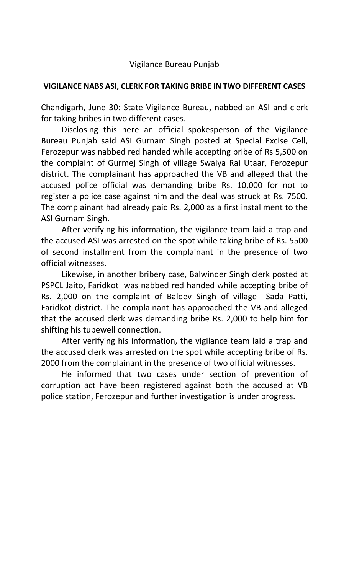## **VIGILANCE NABS ASI, CLERK FOR TAKING BRIBE IN TWO DIFFERENT CASES**

Chandigarh, June 30: State Vigilance Bureau, nabbed an ASI and clerk for taking bribes in two different cases.

Disclosing this here an official spokesperson of the Vigilance Bureau Punjab said ASI Gurnam Singh posted at Special Excise Cell, Ferozepur was nabbed red handed while accepting bribe of Rs 5,500 on the complaint of Gurmej Singh of village Swaiya Rai Utaar, Ferozepur district. The complainant has approached the VB and alleged that the accused police official was demanding bribe Rs. 10,000 for not to register a police case against him and the deal was struck at Rs. 7500. The complainant had already paid Rs. 2,000 as a first installment to the ASI Gurnam Singh.

After verifying his information, the vigilance team laid a trap and the accused ASI was arrested on the spot while taking bribe of Rs. 5500 of second installment from the complainant in the presence of two official witnesses.

Likewise, in another bribery case, Balwinder Singh clerk posted at PSPCL Jaito, Faridkot was nabbed red handed while accepting bribe of Rs. 2,000 on the complaint of Baldev Singh of village Sada Patti, Faridkot district. The complainant has approached the VB and alleged that the accused clerk was demanding bribe Rs. 2,000 to help him for shifting his tubewell connection.

After verifying his information, the vigilance team laid a trap and the accused clerk was arrested on the spot while accepting bribe of Rs. 2000 from the complainant in the presence of two official witnesses.

He informed that two cases under section of prevention of corruption act have been registered against both the accused at VB police station, Ferozepur and further investigation is under progress.